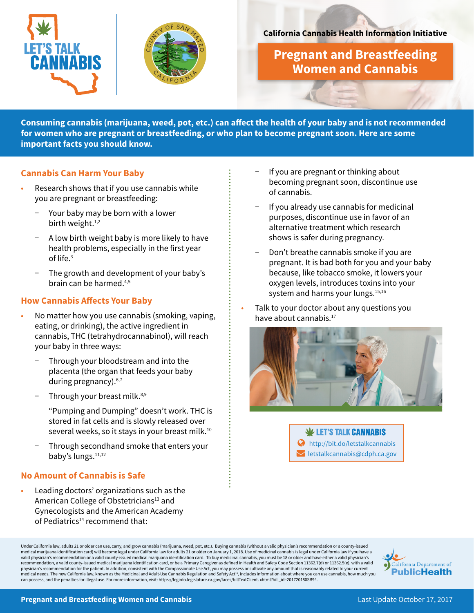



## **California Cannabis Health Information Initiative**

**Pregnant and Breastfeeding Women and Cannabis**

**Consuming cannabis (marijuana, weed, pot, etc.) can affect the health of your baby and is not recommended for women who are pregnant or breastfeeding, or who plan to become pregnant soon. Here are some important facts you should know.**

# **Cannabis Can Harm Your Baby**

- Research shows that if you use cannabis while you are pregnant or breastfeeding:
	- Your baby may be born with a lower birth weight.<sup>1,2</sup>
	- A low birth weight baby is more likely to have health problems, especially in the first year of life.3
	- − The growth and development of your baby's brain can be harmed.4,5

## **How Cannabis Affects Your Baby**

- No matter how you use cannabis (smoking, vaping, eating, or drinking), the active ingredient in cannabis, THC (tetrahydrocannabinol), will reach your baby in three ways:
	- Through your bloodstream and into the placenta (the organ that feeds your baby during pregnancy).<sup>6,7</sup>
	- Through your breast milk.<sup>8,9</sup>

"Pumping and Dumping" doesn't work. THC is stored in fat cells and is slowly released over several weeks, so it stays in your breast milk.<sup>10</sup>

Through secondhand smoke that enters your baby's lungs.<sup>11,12</sup>

# **No Amount of Cannabis is Safe**

• Leading doctors' organizations such as the American College of Obstetricians<sup>13</sup> and Gynecologists and the American Academy of Pediatrics<sup>14</sup> recommend that:

- − If you are pregnant or thinking about becoming pregnant soon, discontinue use of cannabis.
- If you already use cannabis for medicinal purposes, discontinue use in favor of an alternative treatment which research shows is safer during pregnancy.
- Don't breathe cannabis smoke if you are pregnant. It is bad both for you and your baby because, like tobacco smoke, it lowers your oxygen levels, introduces toxins into your system and harms your lungs.<sup>15,16</sup>
- Talk to your doctor about any questions you have about cannabis.<sup>17</sup>





Under California law, adults 21 or older can use, carry, and grow cannabis (marijuana, weed, pot, etc.). Buying cannabis (without a valid physician's recommendation or a county-issued medical marijuana identification card) will become legal under California law for adults 21 or older on January 1, 2018. Use of medicinal cannabis is legal under California law if you have a<br>valid physician's recommendatio recommendation, a valid county-issued medical marijuana identification card, or be a Primary Caregiver as defined in Health and Safety Code Section 11362.7(d) or 11362.5(e), with a valid<br>physician's recommendation for the medical needs. The new California law, known as the Medicinal and Adult-Use Cannabis Regulation and Safety Act<sup>18</sup>, includes information about where you can use cannabis, how much you can possess, and the penalties for illegal use. For more information, visit: https://leginfo.legislature.ca.gov/faces/billTextClient. xhtml?bill\_id=201720180SB94.